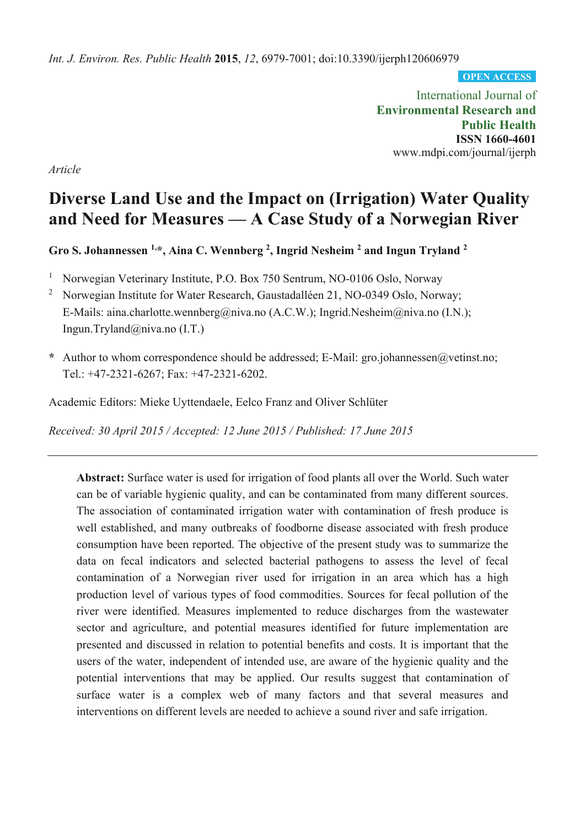*Int. J. Environ. Res. Public Health* **2015**, *12*, 6979-7001; doi:10.3390/ijerph120606979

**OPEN ACCESS**

International Journal of **Environmental Research and Public Health ISSN 1660-4601**  www.mdpi.com/journal/ijerph

*Article*

# **Diverse Land Use and the Impact on (Irrigation) Water Quality and Need for Measures — A Case Study of a Norwegian River**

**Gro S. Johannessen 1,\*, Aina C. Wennberg 2 , Ingrid Nesheim 2 and Ingun Tryland 2**

1 Norwegian Veterinary Institute, P.O. Box 750 Sentrum, NO-0106 Oslo, Norway

2 Norwegian Institute for Water Research, Gaustadalléen 21, NO-0349 Oslo, Norway; E-Mails: aina.charlotte.wennberg@niva.no (A.C.W.); Ingrid.Nesheim@niva.no (I.N.); Ingun.Tryland@niva.no (I.T.)

**\*** Author to whom correspondence should be addressed; E-Mail: gro.johannessen@vetinst.no; Tel.: +47-2321-6267; Fax: +47-2321-6202.

Academic Editors: Mieke Uyttendaele, Eelco Franz and Oliver Schlüter

*Received: 30 April 2015 / Accepted: 12 June 2015 / Published: 17 June 2015* 

**Abstract:** Surface water is used for irrigation of food plants all over the World. Such water can be of variable hygienic quality, and can be contaminated from many different sources. The association of contaminated irrigation water with contamination of fresh produce is well established, and many outbreaks of foodborne disease associated with fresh produce consumption have been reported. The objective of the present study was to summarize the data on fecal indicators and selected bacterial pathogens to assess the level of fecal contamination of a Norwegian river used for irrigation in an area which has a high production level of various types of food commodities. Sources for fecal pollution of the river were identified. Measures implemented to reduce discharges from the wastewater sector and agriculture, and potential measures identified for future implementation are presented and discussed in relation to potential benefits and costs. It is important that the users of the water, independent of intended use, are aware of the hygienic quality and the potential interventions that may be applied. Our results suggest that contamination of surface water is a complex web of many factors and that several measures and interventions on different levels are needed to achieve a sound river and safe irrigation.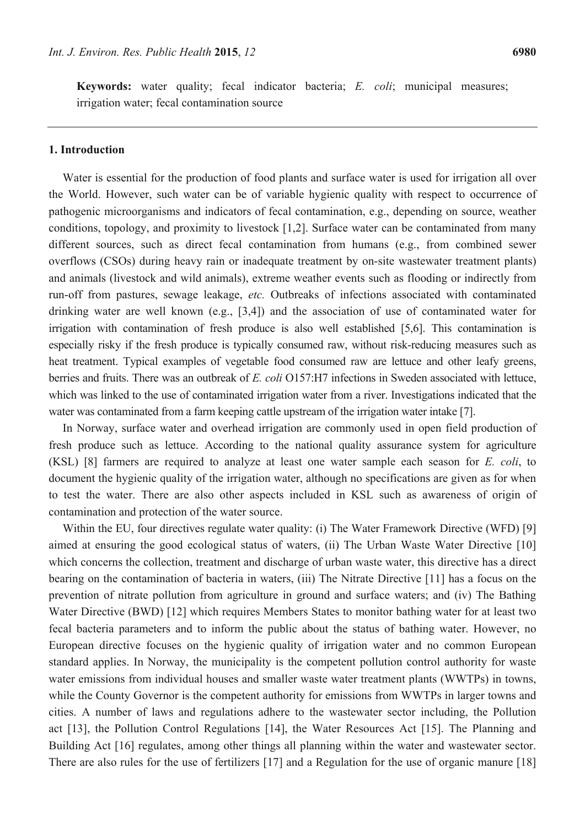**Keywords:** water quality; fecal indicator bacteria; *E. coli*; municipal measures; irrigation water; fecal contamination source

#### **1. Introduction**

Water is essential for the production of food plants and surface water is used for irrigation all over the World. However, such water can be of variable hygienic quality with respect to occurrence of pathogenic microorganisms and indicators of fecal contamination, e.g., depending on source, weather conditions, topology, and proximity to livestock [1,2]. Surface water can be contaminated from many different sources, such as direct fecal contamination from humans (e.g., from combined sewer overflows (CSOs) during heavy rain or inadequate treatment by on-site wastewater treatment plants) and animals (livestock and wild animals), extreme weather events such as flooding or indirectly from run-off from pastures, sewage leakage, *etc.* Outbreaks of infections associated with contaminated drinking water are well known (e.g., [3,4]) and the association of use of contaminated water for irrigation with contamination of fresh produce is also well established [5,6]. This contamination is especially risky if the fresh produce is typically consumed raw, without risk-reducing measures such as heat treatment. Typical examples of vegetable food consumed raw are lettuce and other leafy greens, berries and fruits. There was an outbreak of *E. coli* O157:H7 infections in Sweden associated with lettuce, which was linked to the use of contaminated irrigation water from a river. Investigations indicated that the water was contaminated from a farm keeping cattle upstream of the irrigation water intake [7].

In Norway, surface water and overhead irrigation are commonly used in open field production of fresh produce such as lettuce. According to the national quality assurance system for agriculture (KSL) [8] farmers are required to analyze at least one water sample each season for *E. coli*, to document the hygienic quality of the irrigation water, although no specifications are given as for when to test the water. There are also other aspects included in KSL such as awareness of origin of contamination and protection of the water source.

Within the EU, four directives regulate water quality: (i) The Water Framework Directive (WFD) [9] aimed at ensuring the good ecological status of waters, (ii) The Urban Waste Water Directive [10] which concerns the collection, treatment and discharge of urban waste water, this directive has a direct bearing on the contamination of bacteria in waters, (iii) The Nitrate Directive [11] has a focus on the prevention of nitrate pollution from agriculture in ground and surface waters; and (iv) The Bathing Water Directive (BWD) [12] which requires Members States to monitor bathing water for at least two fecal bacteria parameters and to inform the public about the status of bathing water. However, no European directive focuses on the hygienic quality of irrigation water and no common European standard applies. In Norway, the municipality is the competent pollution control authority for waste water emissions from individual houses and smaller waste water treatment plants (WWTPs) in towns, while the County Governor is the competent authority for emissions from WWTPs in larger towns and cities. A number of laws and regulations adhere to the wastewater sector including, the Pollution act [13], the Pollution Control Regulations [14], the Water Resources Act [15]. The Planning and Building Act [16] regulates, among other things all planning within the water and wastewater sector. There are also rules for the use of fertilizers [17] and a Regulation for the use of organic manure [18]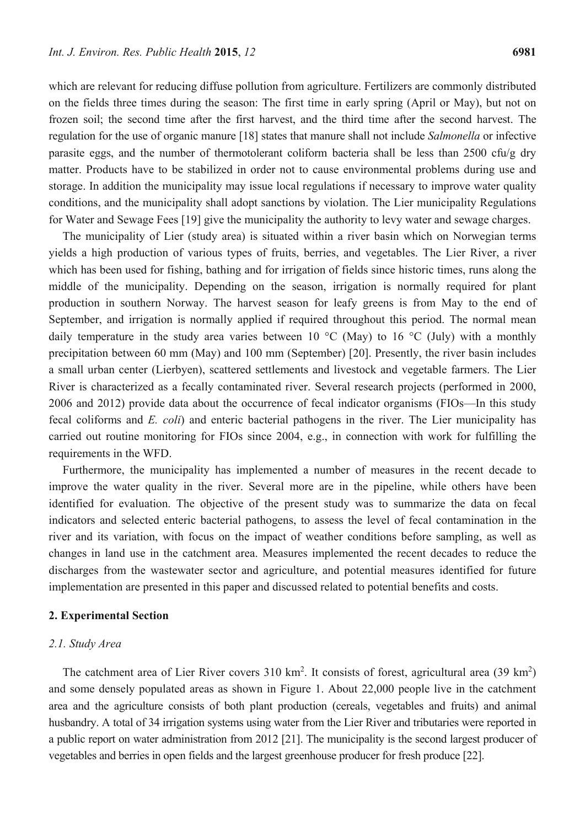which are relevant for reducing diffuse pollution from agriculture. Fertilizers are commonly distributed on the fields three times during the season: The first time in early spring (April or May), but not on frozen soil; the second time after the first harvest, and the third time after the second harvest. The regulation for the use of organic manure [18] states that manure shall not include *Salmonella* or infective parasite eggs, and the number of thermotolerant coliform bacteria shall be less than 2500 cfu/g dry matter. Products have to be stabilized in order not to cause environmental problems during use and storage. In addition the municipality may issue local regulations if necessary to improve water quality conditions, and the municipality shall adopt sanctions by violation. The Lier municipality Regulations for Water and Sewage Fees [19] give the municipality the authority to levy water and sewage charges.

The municipality of Lier (study area) is situated within a river basin which on Norwegian terms yields a high production of various types of fruits, berries, and vegetables. The Lier River, a river which has been used for fishing, bathing and for irrigation of fields since historic times, runs along the middle of the municipality. Depending on the season, irrigation is normally required for plant production in southern Norway. The harvest season for leafy greens is from May to the end of September, and irrigation is normally applied if required throughout this period. The normal mean daily temperature in the study area varies between 10  $^{\circ}$ C (May) to 16  $^{\circ}$ C (July) with a monthly precipitation between 60 mm (May) and 100 mm (September) [20]. Presently, the river basin includes a small urban center (Lierbyen), scattered settlements and livestock and vegetable farmers. The Lier River is characterized as a fecally contaminated river. Several research projects (performed in 2000, 2006 and 2012) provide data about the occurrence of fecal indicator organisms (FIOs—In this study fecal coliforms and *E. coli*) and enteric bacterial pathogens in the river. The Lier municipality has carried out routine monitoring for FIOs since 2004, e.g., in connection with work for fulfilling the requirements in the WFD.

Furthermore, the municipality has implemented a number of measures in the recent decade to improve the water quality in the river. Several more are in the pipeline, while others have been identified for evaluation. The objective of the present study was to summarize the data on fecal indicators and selected enteric bacterial pathogens, to assess the level of fecal contamination in the river and its variation, with focus on the impact of weather conditions before sampling, as well as changes in land use in the catchment area. Measures implemented the recent decades to reduce the discharges from the wastewater sector and agriculture, and potential measures identified for future implementation are presented in this paper and discussed related to potential benefits and costs.

#### **2. Experimental Section**

#### *2.1. Study Area*

The catchment area of Lier River covers  $310 \text{ km}^2$ . It consists of forest, agricultural area  $(39 \text{ km}^2)$ and some densely populated areas as shown in Figure 1. About 22,000 people live in the catchment area and the agriculture consists of both plant production (cereals, vegetables and fruits) and animal husbandry. A total of 34 irrigation systems using water from the Lier River and tributaries were reported in a public report on water administration from 2012 [21]. The municipality is the second largest producer of vegetables and berries in open fields and the largest greenhouse producer for fresh produce [22].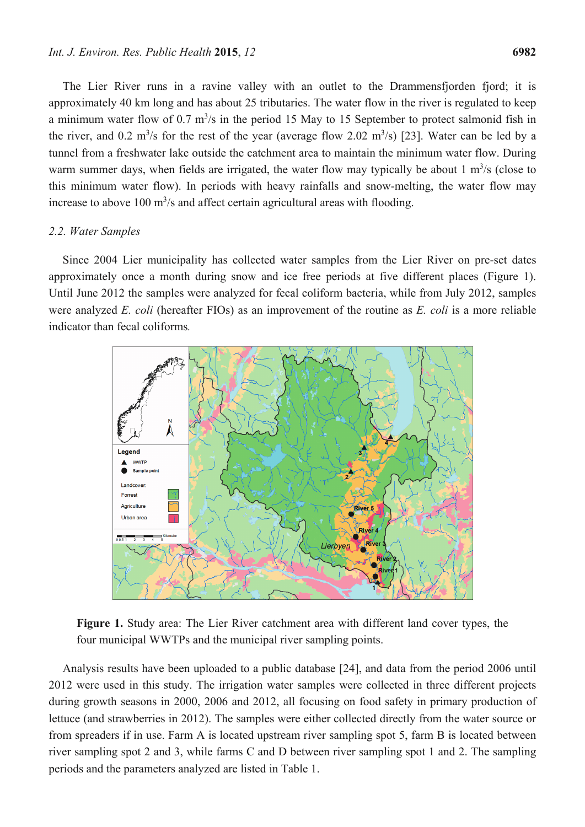The Lier River runs in a ravine valley with an outlet to the Drammensfjorden fjord; it is approximately 40 km long and has about 25 tributaries. The water flow in the river is regulated to keep a minimum water flow of  $0.7 \text{ m}^3/\text{s}$  in the period 15 May to 15 September to protect salmonid fish in the river, and 0.2 m<sup>3</sup>/s for the rest of the year (average flow 2.02 m<sup>3</sup>/s) [23]. Water can be led by a tunnel from a freshwater lake outside the catchment area to maintain the minimum water flow. During warm summer days, when fields are irrigated, the water flow may typically be about  $1 \text{ m}^3$ /s (close to this minimum water flow). In periods with heavy rainfalls and snow-melting, the water flow may increase to above  $100 \text{ m}^3$ /s and affect certain agricultural areas with flooding.

#### *2.2. Water Samples*

Since 2004 Lier municipality has collected water samples from the Lier River on pre-set dates approximately once a month during snow and ice free periods at five different places (Figure 1). Until June 2012 the samples were analyzed for fecal coliform bacteria, while from July 2012, samples were analyzed *E. coli* (hereafter FIOs) as an improvement of the routine as *E. coli* is a more reliable indicator than fecal coliforms*.*



**Figure 1.** Study area: The Lier River catchment area with different land cover types, the four municipal WWTPs and the municipal river sampling points.

Analysis results have been uploaded to a public database [24], and data from the period 2006 until 2012 were used in this study. The irrigation water samples were collected in three different projects during growth seasons in 2000, 2006 and 2012, all focusing on food safety in primary production of lettuce (and strawberries in 2012). The samples were either collected directly from the water source or from spreaders if in use. Farm A is located upstream river sampling spot 5, farm B is located between river sampling spot 2 and 3, while farms C and D between river sampling spot 1 and 2. The sampling periods and the parameters analyzed are listed in Table 1.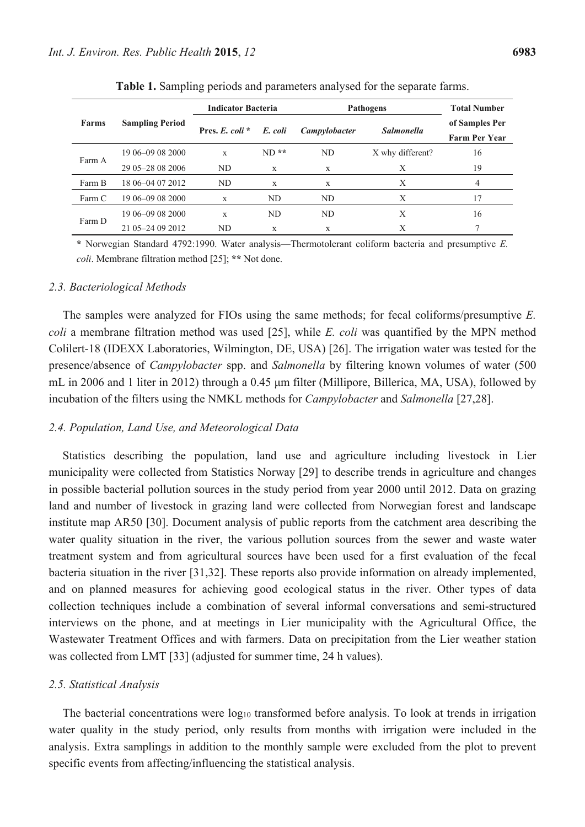|        | <b>Sampling Period</b> | <b>Indicator Bacteria</b>   |         | Pathogens     | <b>Total Number</b> |                                        |
|--------|------------------------|-----------------------------|---------|---------------|---------------------|----------------------------------------|
| Farms  |                        | <b>Pres.</b> $E$ . coli $*$ | E. coli | Campylobacter | <b>Salmonella</b>   | of Samples Per<br><b>Farm Per Year</b> |
| Farm A | 19 06 - 09 08 2000     | X                           | $ND**$  | ND            | X why different?    | 16                                     |
|        | 29 05 - 28 08 2006     | ND.                         | X       | X             | X                   | 19                                     |
| Farm B | 18 06 - 04 07 2012     | ND.                         | X       | X             | X                   | $\overline{4}$                         |
| Farm C | 19 06 - 09 08 2000     | X                           | ND      | ND.           | X                   | 17                                     |
| Farm D | 19 06 - 09 08 2000     | X                           | ND.     | ND.           | X                   | 16                                     |
|        | 21 05 - 24 09 2012     | ND.                         | X       | X             | X                   |                                        |

**Table 1.** Sampling periods and parameters analysed for the separate farms.

**\*** Norwegian Standard 4792:1990. Water analysis—Thermotolerant coliform bacteria and presumptive *E. coli*. Membrane filtration method [25]; **\*\*** Not done.

#### *2.3. Bacteriological Methods*

The samples were analyzed for FIOs using the same methods; for fecal coliforms/presumptive *E. coli* a membrane filtration method was used [25], while *E. coli* was quantified by the MPN method Colilert-18 (IDEXX Laboratories, Wilmington, DE, USA) [26]. The irrigation water was tested for the presence/absence of *Campylobacter* spp. and *Salmonella* by filtering known volumes of water (500 mL in 2006 and 1 liter in 2012) through a 0.45 μm filter (Millipore, Billerica, MA, USA), followed by incubation of the filters using the NMKL methods for *Campylobacter* and *Salmonella* [27,28].

#### *2.4. Population, Land Use, and Meteorological Data*

Statistics describing the population, land use and agriculture including livestock in Lier municipality were collected from Statistics Norway [29] to describe trends in agriculture and changes in possible bacterial pollution sources in the study period from year 2000 until 2012. Data on grazing land and number of livestock in grazing land were collected from Norwegian forest and landscape institute map AR50 [30]. Document analysis of public reports from the catchment area describing the water quality situation in the river, the various pollution sources from the sewer and waste water treatment system and from agricultural sources have been used for a first evaluation of the fecal bacteria situation in the river [31,32]. These reports also provide information on already implemented, and on planned measures for achieving good ecological status in the river. Other types of data collection techniques include a combination of several informal conversations and semi-structured interviews on the phone, and at meetings in Lier municipality with the Agricultural Office, the Wastewater Treatment Offices and with farmers. Data on precipitation from the Lier weather station was collected from LMT [33] (adjusted for summer time, 24 h values).

#### *2.5. Statistical Analysis*

The bacterial concentrations were log<sub>10</sub> transformed before analysis. To look at trends in irrigation water quality in the study period, only results from months with irrigation were included in the analysis. Extra samplings in addition to the monthly sample were excluded from the plot to prevent specific events from affecting/influencing the statistical analysis.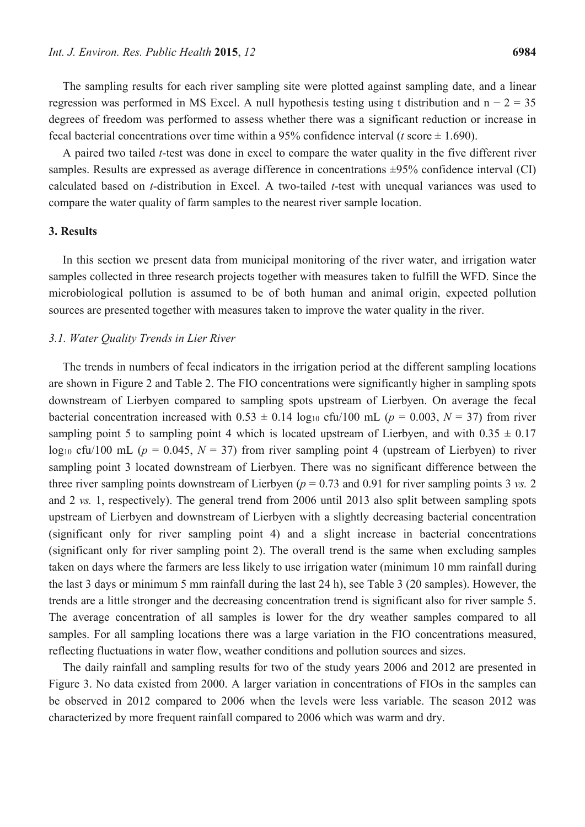The sampling results for each river sampling site were plotted against sampling date, and a linear regression was performed in MS Excel. A null hypothesis testing using t distribution and  $n - 2 = 35$ degrees of freedom was performed to assess whether there was a significant reduction or increase in fecal bacterial concentrations over time within a 95% confidence interval ( $t$  score  $\pm$  1.690).

A paired two tailed *t*-test was done in excel to compare the water quality in the five different river samples. Results are expressed as average difference in concentrations  $\pm 95\%$  confidence interval (CI) calculated based on *t*-distribution in Excel. A two-tailed *t*-test with unequal variances was used to compare the water quality of farm samples to the nearest river sample location.

## **3. Results**

In this section we present data from municipal monitoring of the river water, and irrigation water samples collected in three research projects together with measures taken to fulfill the WFD. Since the microbiological pollution is assumed to be of both human and animal origin, expected pollution sources are presented together with measures taken to improve the water quality in the river.

#### *3.1. Water Quality Trends in Lier River*

The trends in numbers of fecal indicators in the irrigation period at the different sampling locations are shown in Figure 2 and Table 2. The FIO concentrations were significantly higher in sampling spots downstream of Lierbyen compared to sampling spots upstream of Lierbyen. On average the fecal bacterial concentration increased with  $0.53 \pm 0.14$  log<sub>10</sub> cfu/100 mL ( $p = 0.003$ ,  $N = 37$ ) from river sampling point 5 to sampling point 4 which is located upstream of Lierbyen, and with  $0.35 \pm 0.17$ log<sub>10</sub> cfu/100 mL ( $p = 0.045$ ,  $N = 37$ ) from river sampling point 4 (upstream of Lierbyen) to river sampling point 3 located downstream of Lierbyen. There was no significant difference between the three river sampling points downstream of Lierbyen ( $p = 0.73$  and 0.91 for river sampling points 3 *vs.* 2 and 2 *vs.* 1, respectively). The general trend from 2006 until 2013 also split between sampling spots upstream of Lierbyen and downstream of Lierbyen with a slightly decreasing bacterial concentration (significant only for river sampling point 4) and a slight increase in bacterial concentrations (significant only for river sampling point 2). The overall trend is the same when excluding samples taken on days where the farmers are less likely to use irrigation water (minimum 10 mm rainfall during the last 3 days or minimum 5 mm rainfall during the last 24 h), see Table 3 (20 samples). However, the trends are a little stronger and the decreasing concentration trend is significant also for river sample 5. The average concentration of all samples is lower for the dry weather samples compared to all samples. For all sampling locations there was a large variation in the FIO concentrations measured, reflecting fluctuations in water flow, weather conditions and pollution sources and sizes.

The daily rainfall and sampling results for two of the study years 2006 and 2012 are presented in Figure 3. No data existed from 2000. A larger variation in concentrations of FIOs in the samples can be observed in 2012 compared to 2006 when the levels were less variable. The season 2012 was characterized by more frequent rainfall compared to 2006 which was warm and dry.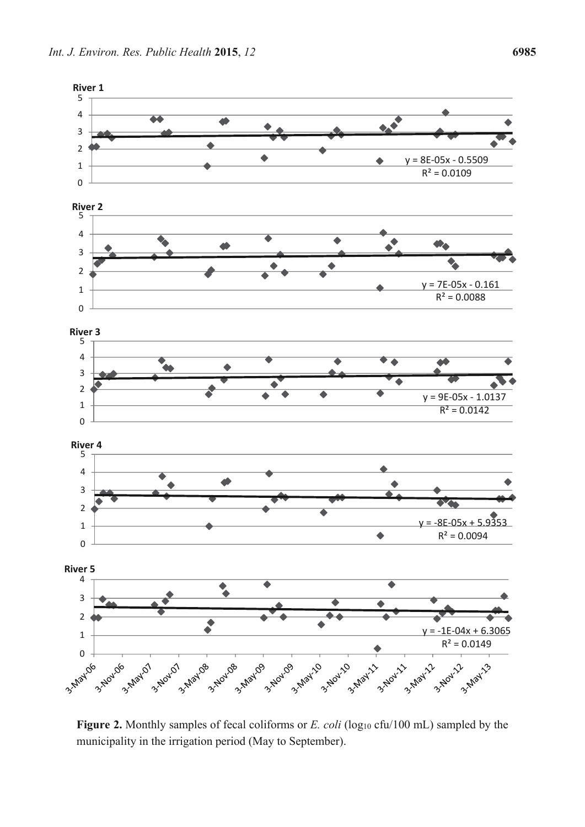

**Figure 2.** Monthly samples of fecal coliforms or *E. coli* (log<sub>10</sub> cfu/100 mL) sampled by the municipality in the irrigation period (May to September).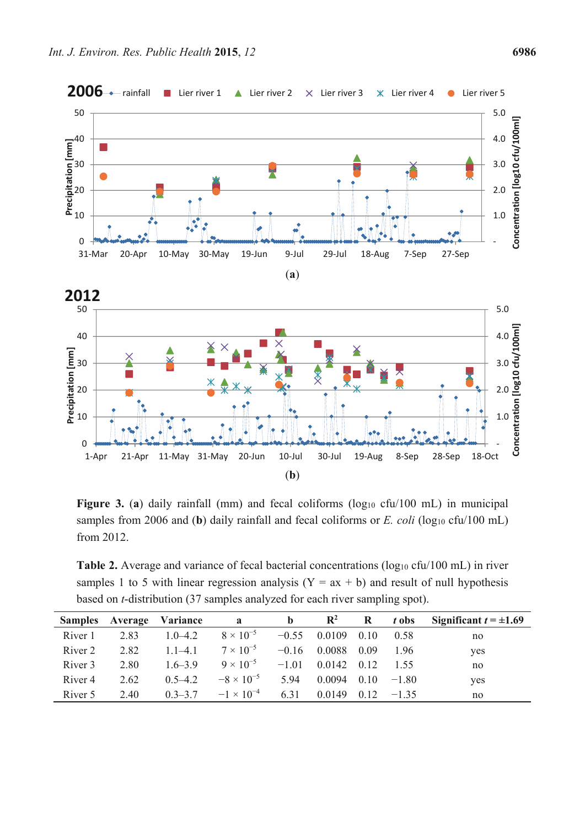



Figure 3. (a) daily rainfall (mm) and fecal coliforms (log<sub>10</sub> cfu/100 mL) in municipal samples from 2006 and (**b**) daily rainfall and fecal coliforms or  $E$ . *coli* (log<sub>10</sub> cfu/100 mL) from 2012.

**Table 2.** Average and variance of fecal bacterial concentrations (log<sub>10</sub> cfu/100 mL) in river samples 1 to 5 with linear regression analysis  $(Y = ax + b)$  and result of null hypothesis based on *t*-distribution (37 samples analyzed for each river sampling spot).

| <b>Samples</b>     | Average | Variance      | a                   | $\mathbf b$ | $\mathbf{R}^2$ | R    | t obs   | Significant $t = \pm 1.69$ |
|--------------------|---------|---------------|---------------------|-------------|----------------|------|---------|----------------------------|
| River 1            | 2.83    | $10-42$       | $8 \times 10^{-5}$  | $-0.55$     | 0.0109         | 010  | 0.58    | no                         |
| River 2            | 2.82    | $11-41$       | $7 \times 10^{-5}$  | $-0.16$     | 0.0088         | 0.09 | 196     | yes                        |
| River 3            | 2.80    | $16-39$       | $9 \times 10^{-5}$  | $-1.01$     | 0.0142         | 0.12 | 1.55    | no                         |
| River <sub>4</sub> | 2.62    | $0,5-4,2$     | $-8 \times 10^{-5}$ | 594         | 0 0 0 9 4      | 010  | $-1.80$ | yes                        |
| River 5            | 2.40    | $0, 3 - 3, 7$ | $-1 \times 10^{-4}$ | 631         | 0 0 1 4 9      | 0.12 | $-135$  | no                         |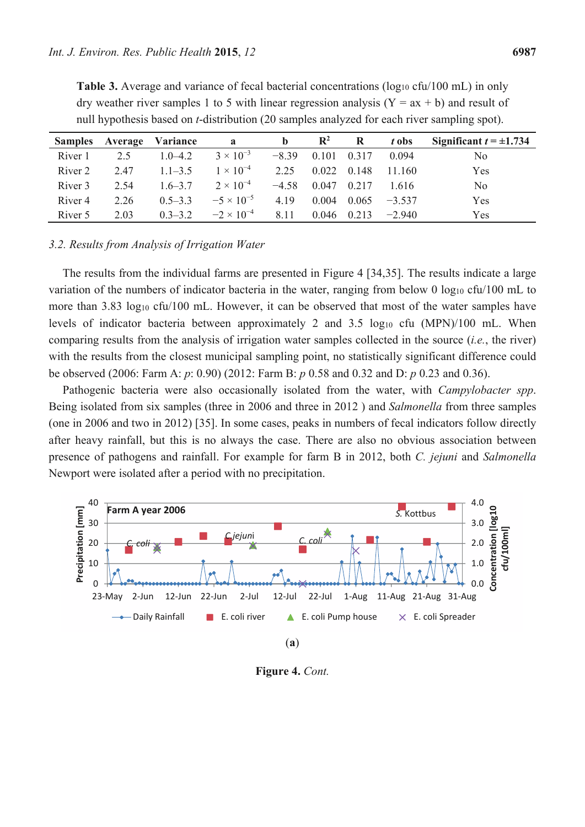| <b>Samples</b>     | Average | Variance    | a                   | b       | $\mathbf{R}^2$ | R       | t obs    | Significant $t = \pm 1.734$ |
|--------------------|---------|-------------|---------------------|---------|----------------|---------|----------|-----------------------------|
| River 1            | 2.5     | $10-42$     | $3 \times 10^{-3}$  | $-8,39$ | 0101           | 0 3 1 7 | 0 0 9 4  | No                          |
| River 2            | 2.47    | $11-35$     | $1 \times 10^{-4}$  | 2.25    | 0.022          | 0.148   | 11 160   | Yes                         |
| River 3            | 2.54    | $16 - 37$   | $2 \times 10^{-4}$  | $-4.58$ | 0.047          | 0.217   | 1616     | N <sub>0</sub>              |
| River <sub>4</sub> | 2.26    | $0,5-3,3$   | $-5 \times 10^{-5}$ | 4 1 9   | 0.004          | 0.065   | $-3,537$ | Yes                         |
| River 5            | 2.03    | $0, 3-3, 2$ | $-2 \times 10^{-4}$ | 8.11    | 0.046          | 0.213   | $-2.940$ | Yes                         |

**Table 3.** Average and variance of fecal bacterial concentrations (log<sub>10</sub> cfu/100 mL) in only dry weather river samples 1 to 5 with linear regression analysis  $(Y = ax + b)$  and result of null hypothesis based on *t*-distribution (20 samples analyzed for each river sampling spot).

## *3.2. Results from Analysis of Irrigation Water*

The results from the individual farms are presented in Figure 4 [34,35]. The results indicate a large variation of the numbers of indicator bacteria in the water, ranging from below 0 log<sub>10</sub> cfu/100 mL to more than 3.83 log<sub>10</sub> cfu/100 mL. However, it can be observed that most of the water samples have levels of indicator bacteria between approximately 2 and 3.5  $log_{10}$  cfu (MPN)/100 mL. When comparing results from the analysis of irrigation water samples collected in the source (*i.e.*, the river) with the results from the closest municipal sampling point, no statistically significant difference could be observed (2006: Farm A: *p*: 0.90) (2012: Farm B: *p* 0.58 and 0.32 and D: *p* 0.23 and 0.36).

Pathogenic bacteria were also occasionally isolated from the water, with *Campylobacter spp*. Being isolated from six samples (three in 2006 and three in 2012 ) and *Salmonella* from three samples (one in 2006 and two in 2012) [35]. In some cases, peaks in numbers of fecal indicators follow directly after heavy rainfall, but this is no always the case. There are also no obvious association between presence of pathogens and rainfall. For example for farm B in 2012, both *C. jejuni* and *Salmonella* Newport were isolated after a period with no precipitation.



**Figure 4.** *Cont.*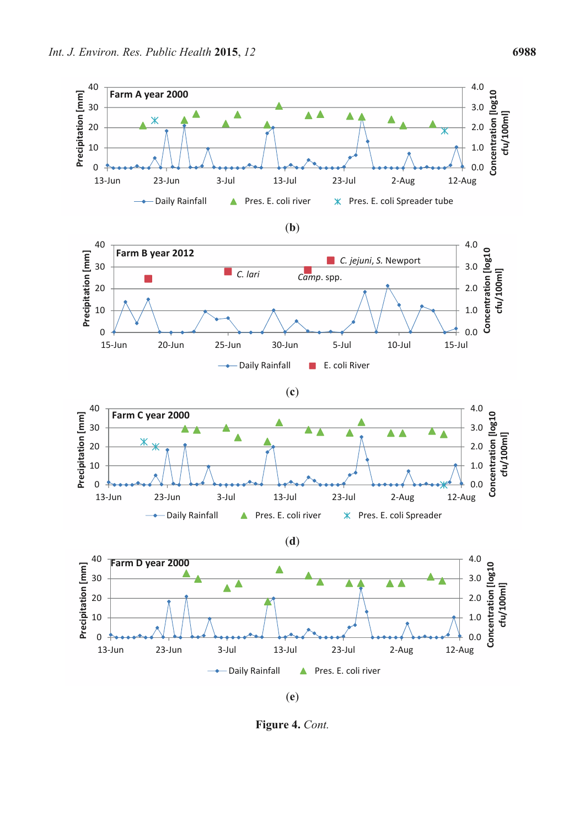

**Figure 4.** *Cont.*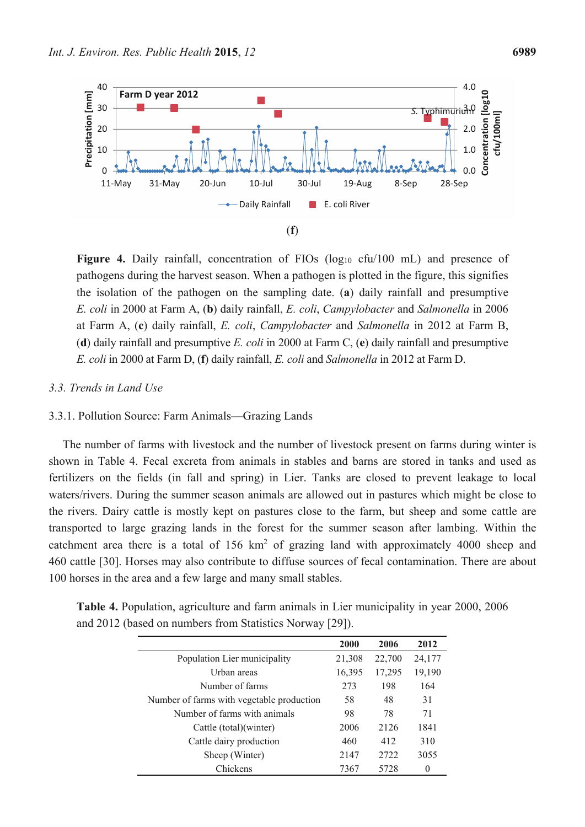

Figure 4. Daily rainfall, concentration of FIOs (log<sub>10</sub> cfu/100 mL) and presence of pathogens during the harvest season. When a pathogen is plotted in the figure, this signifies the isolation of the pathogen on the sampling date. (**a**) daily rainfall and presumptive *E. coli* in 2000 at Farm A, (**b**) daily rainfall, *E. coli*, *Campylobacter* and *Salmonella* in 2006 at Farm A, (**c**) daily rainfall, *E. coli*, *Campylobacter* and *Salmonella* in 2012 at Farm B, (**d**) daily rainfall and presumptive *E. coli* in 2000 at Farm C, (**e**) daily rainfall and presumptive *E. coli* in 2000 at Farm D, (**f**) daily rainfall, *E. coli* and *Salmonella* in 2012 at Farm D.

#### *3.3. Trends in Land Use*

## 3.3.1. Pollution Source: Farm Animals—Grazing Lands

The number of farms with livestock and the number of livestock present on farms during winter is shown in Table 4. Fecal excreta from animals in stables and barns are stored in tanks and used as fertilizers on the fields (in fall and spring) in Lier. Tanks are closed to prevent leakage to local waters/rivers. During the summer season animals are allowed out in pastures which might be close to the rivers. Dairy cattle is mostly kept on pastures close to the farm, but sheep and some cattle are transported to large grazing lands in the forest for the summer season after lambing. Within the catchment area there is a total of  $156 \text{ km}^2$  of grazing land with approximately 4000 sheep and 460 cattle [30]. Horses may also contribute to diffuse sources of fecal contamination. There are about 100 horses in the area and a few large and many small stables.

|                                           | 2000   | 2006   | 2012   |
|-------------------------------------------|--------|--------|--------|
| Population Lier municipality              | 21,308 | 22,700 | 24,177 |
| Urban areas                               | 16,395 | 17,295 | 19,190 |
| Number of farms                           | 273    | 198    | 164    |
| Number of farms with vegetable production | 58     | 48     | 31     |
| Number of farms with animals              | 98     | 78     | 71     |
| Cattle (total)(winter)                    | 2006   | 2126   | 1841   |
| Cattle dairy production                   | 460    | 412    | 310    |
| Sheep (Winter)                            | 2147   | 2722   | 3055   |
| Chickens                                  | 7367   | 5728   | 0      |

**Table 4.** Population, agriculture and farm animals in Lier municipality in year 2000, 2006 and 2012 (based on numbers from Statistics Norway [29]).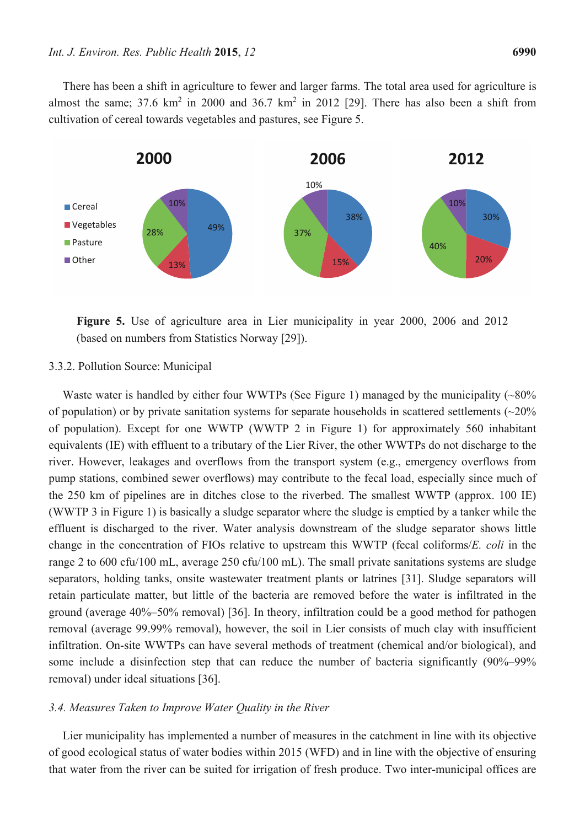There has been a shift in agriculture to fewer and larger farms. The total area used for agriculture is almost the same; 37.6  $km^2$  in 2000 and 36.7  $km^2$  in 2012 [29]. There has also been a shift from cultivation of cereal towards vegetables and pastures, see Figure 5.



**Figure 5.** Use of agriculture area in Lier municipality in year 2000, 2006 and 2012 (based on numbers from Statistics Norway [29]).

#### 3.3.2. Pollution Source: Municipal

Waste water is handled by either four WWTPs (See Figure 1) managed by the municipality  $\left(\sim80\right)$ % of population) or by private sanitation systems for separate households in scattered settlements  $(\sim 20\%$ of population). Except for one WWTP (WWTP 2 in Figure 1) for approximately 560 inhabitant equivalents (IE) with effluent to a tributary of the Lier River, the other WWTPs do not discharge to the river. However, leakages and overflows from the transport system (e.g., emergency overflows from pump stations, combined sewer overflows) may contribute to the fecal load, especially since much of the 250 km of pipelines are in ditches close to the riverbed. The smallest WWTP (approx. 100 IE) (WWTP 3 in Figure 1) is basically a sludge separator where the sludge is emptied by a tanker while the effluent is discharged to the river. Water analysis downstream of the sludge separator shows little change in the concentration of FIOs relative to upstream this WWTP (fecal coliforms/*E. coli* in the range 2 to 600 cfu/100 mL, average 250 cfu/100 mL). The small private sanitations systems are sludge separators, holding tanks, onsite wastewater treatment plants or latrines [31]. Sludge separators will retain particulate matter, but little of the bacteria are removed before the water is infiltrated in the ground (average 40%–50% removal) [36]. In theory, infiltration could be a good method for pathogen removal (average 99.99% removal), however, the soil in Lier consists of much clay with insufficient infiltration. On-site WWTPs can have several methods of treatment (chemical and/or biological), and some include a disinfection step that can reduce the number of bacteria significantly (90%–99%) removal) under ideal situations [36].

#### *3.4. Measures Taken to Improve Water Quality in the River*

Lier municipality has implemented a number of measures in the catchment in line with its objective of good ecological status of water bodies within 2015 (WFD) and in line with the objective of ensuring that water from the river can be suited for irrigation of fresh produce. Two inter-municipal offices are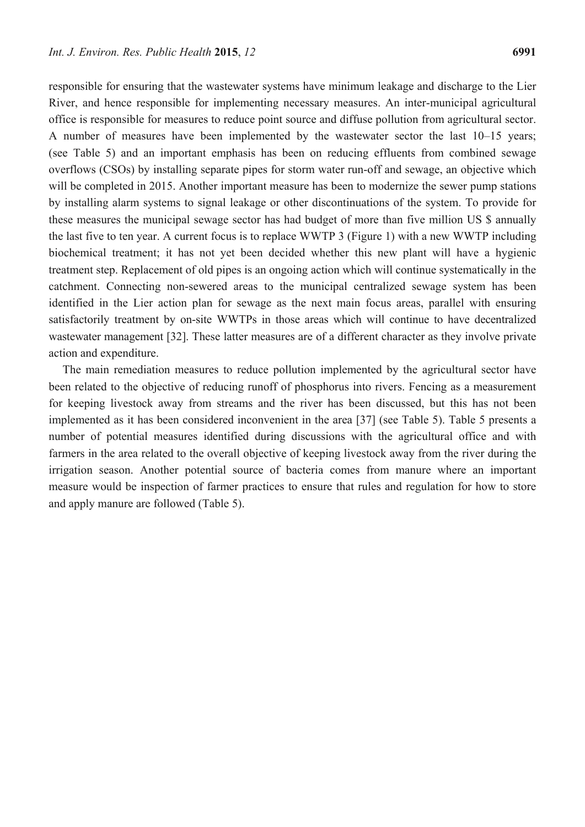responsible for ensuring that the wastewater systems have minimum leakage and discharge to the Lier River, and hence responsible for implementing necessary measures. An inter-municipal agricultural office is responsible for measures to reduce point source and diffuse pollution from agricultural sector. A number of measures have been implemented by the wastewater sector the last 10–15 years; (see Table 5) and an important emphasis has been on reducing effluents from combined sewage overflows (CSOs) by installing separate pipes for storm water run-off and sewage, an objective which will be completed in 2015. Another important measure has been to modernize the sewer pump stations by installing alarm systems to signal leakage or other discontinuations of the system. To provide for these measures the municipal sewage sector has had budget of more than five million US \$ annually the last five to ten year. A current focus is to replace WWTP 3 (Figure 1) with a new WWTP including biochemical treatment; it has not yet been decided whether this new plant will have a hygienic treatment step. Replacement of old pipes is an ongoing action which will continue systematically in the catchment. Connecting non-sewered areas to the municipal centralized sewage system has been identified in the Lier action plan for sewage as the next main focus areas, parallel with ensuring satisfactorily treatment by on-site WWTPs in those areas which will continue to have decentralized wastewater management [32]. These latter measures are of a different character as they involve private action and expenditure.

The main remediation measures to reduce pollution implemented by the agricultural sector have been related to the objective of reducing runoff of phosphorus into rivers. Fencing as a measurement for keeping livestock away from streams and the river has been discussed, but this has not been implemented as it has been considered inconvenient in the area [37] (see Table 5). Table 5 presents a number of potential measures identified during discussions with the agricultural office and with farmers in the area related to the overall objective of keeping livestock away from the river during the irrigation season. Another potential source of bacteria comes from manure where an important measure would be inspection of farmer practices to ensure that rules and regulation for how to store and apply manure are followed (Table 5).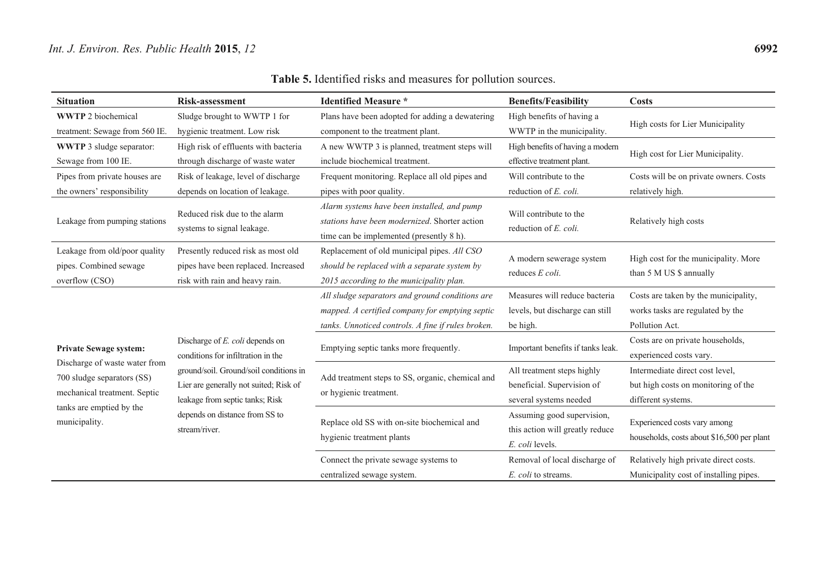| <b>Table 5.</b> Identified risks and measures for pollution sources. |  |
|----------------------------------------------------------------------|--|
|----------------------------------------------------------------------|--|

| <b>Situation</b>                                                                            | <b>Risk-assessment</b>                                                                                                                                                 | <b>Identified Measure *</b>                                                                                                                              | <b>Benefits/Feasibility</b>                                                                 | Costs                                                                                        |
|---------------------------------------------------------------------------------------------|------------------------------------------------------------------------------------------------------------------------------------------------------------------------|----------------------------------------------------------------------------------------------------------------------------------------------------------|---------------------------------------------------------------------------------------------|----------------------------------------------------------------------------------------------|
| <b>WWTP</b> 2 biochemical                                                                   | Sludge brought to WWTP 1 for                                                                                                                                           | Plans have been adopted for adding a dewatering                                                                                                          | High benefits of having a                                                                   | High costs for Lier Municipality                                                             |
| treatment: Sewage from 560 IE.<br><b>WWTP</b> 3 sludge separator:<br>Sewage from 100 IE.    | hygienic treatment. Low risk<br>High risk of effluents with bacteria<br>through discharge of waste water                                                               | component to the treatment plant.<br>A new WWTP 3 is planned, treatment steps will<br>include biochemical treatment.                                     | WWTP in the municipality.<br>High benefits of having a modern<br>effective treatment plant. | High cost for Lier Municipality.                                                             |
| Pipes from private houses are<br>the owners' responsibility                                 | Risk of leakage, level of discharge<br>depends on location of leakage.                                                                                                 | Frequent monitoring. Replace all old pipes and<br>pipes with poor quality.                                                                               | Will contribute to the<br>reduction of E. coli.                                             | Costs will be on private owners. Costs<br>relatively high.                                   |
| Leakage from pumping stations                                                               | Reduced risk due to the alarm<br>systems to signal leakage.                                                                                                            | Alarm systems have been installed, and pump<br>stations have been modernized. Shorter action<br>time can be implemented (presently 8 h).                 | Will contribute to the<br>reduction of E. coli.                                             | Relatively high costs                                                                        |
| Leakage from old/poor quality<br>pipes. Combined sewage<br>overflow (CSO)                   | Presently reduced risk as most old<br>pipes have been replaced. Increased<br>risk with rain and heavy rain.                                                            | Replacement of old municipal pipes. All CSO<br>should be replaced with a separate system by<br>2015 according to the municipality plan.                  | A modern sewerage system<br>reduces E coli.                                                 | High cost for the municipality. More<br>than 5 M US \$ annually                              |
|                                                                                             |                                                                                                                                                                        | All sludge separators and ground conditions are<br>mapped. A certified company for emptying septic<br>tanks. Unnoticed controls. A fine if rules broken. | Measures will reduce bacteria<br>levels, but discharge can still<br>be high.                | Costs are taken by the municipality,<br>works tasks are regulated by the<br>Pollution Act.   |
| <b>Private Sewage system:</b>                                                               | Discharge of E. coli depends on<br>conditions for infiltration in the                                                                                                  | Emptying septic tanks more frequently.                                                                                                                   | Important benefits if tanks leak.                                                           | Costs are on private households,<br>experienced costs vary.                                  |
| Discharge of waste water from<br>700 sludge separators (SS)<br>mechanical treatment. Septic | ground/soil. Ground/soil conditions in<br>Lier are generally not suited; Risk of<br>leakage from septic tanks; Risk<br>depends on distance from SS to<br>stream/river. | Add treatment steps to SS, organic, chemical and<br>or hygienic treatment.                                                                               | All treatment steps highly<br>beneficial. Supervision of<br>several systems needed          | Intermediate direct cost level,<br>but high costs on monitoring of the<br>different systems. |
| tanks are emptied by the<br>municipality.                                                   |                                                                                                                                                                        | Replace old SS with on-site biochemical and<br>hygienic treatment plants                                                                                 | Assuming good supervision,<br>this action will greatly reduce<br>E. coli levels.            | Experienced costs vary among<br>households, costs about \$16,500 per plant                   |
|                                                                                             |                                                                                                                                                                        | Connect the private sewage systems to<br>centralized sewage system.                                                                                      | Removal of local discharge of<br>E. coli to streams.                                        | Relatively high private direct costs.<br>Municipality cost of installing pipes.              |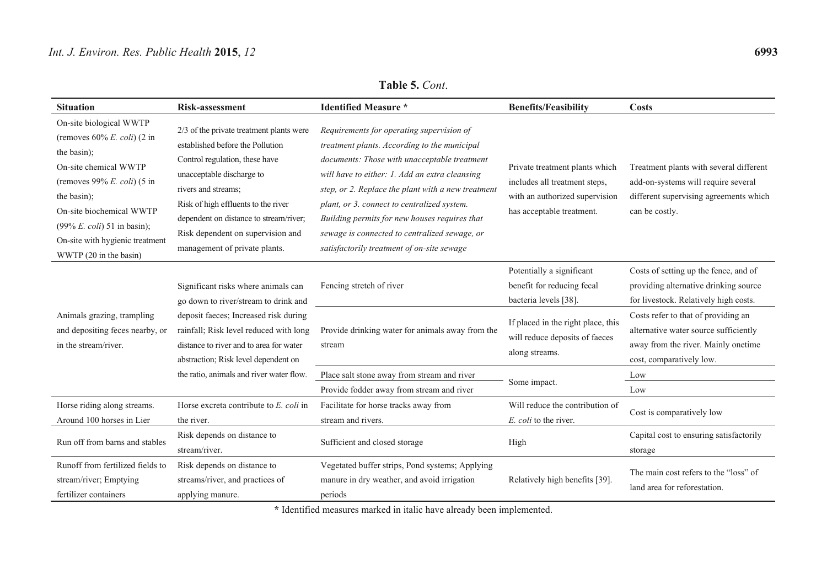| <b>Situation</b>                                                                                                                                                                                                                                                                               | Risk-assessment                                                                                                                                                                                                                                                                                                           | <b>Identified Measure *</b>                                                                                                                                                                                                                                                                                                                                                                                                                      | <b>Benefits/Feasibility</b>                                                                                                    | <b>Costs</b>                                                                                                                                    |
|------------------------------------------------------------------------------------------------------------------------------------------------------------------------------------------------------------------------------------------------------------------------------------------------|---------------------------------------------------------------------------------------------------------------------------------------------------------------------------------------------------------------------------------------------------------------------------------------------------------------------------|--------------------------------------------------------------------------------------------------------------------------------------------------------------------------------------------------------------------------------------------------------------------------------------------------------------------------------------------------------------------------------------------------------------------------------------------------|--------------------------------------------------------------------------------------------------------------------------------|-------------------------------------------------------------------------------------------------------------------------------------------------|
| On-site biological WWTP<br>(removes $60\%$ E. coli) (2 in<br>the basin);<br>On-site chemical WWTP<br>(removes 99% E. coli) $(5 \text{ in}$<br>the basin);<br>On-site biochemical WWTP<br>$(99\% E.$ <i>coli</i> $) 51$ in basin);<br>On-site with hygienic treatment<br>WWTP (20 in the basin) | 2/3 of the private treatment plants were<br>established before the Pollution<br>Control regulation, these have<br>unacceptable discharge to<br>rivers and streams;<br>Risk of high effluents to the river<br>dependent on distance to stream/river;<br>Risk dependent on supervision and<br>management of private plants. | Requirements for operating supervision of<br>treatment plants. According to the municipal<br>documents: Those with unacceptable treatment<br>will have to either: 1. Add an extra cleansing<br>step, or 2. Replace the plant with a new treatment<br>plant, or 3. connect to centralized system.<br>Building permits for new houses requires that<br>sewage is connected to centralized sewage, or<br>satisfactorily treatment of on-site sewage | Private treatment plants which<br>includes all treatment steps,<br>with an authorized supervision<br>has acceptable treatment. | Treatment plants with several different<br>add-on-systems will require several<br>different supervising agreements which<br>can be costly.      |
|                                                                                                                                                                                                                                                                                                | Significant risks where animals can<br>go down to river/stream to drink and<br>deposit faeces; Increased risk during<br>rainfall; Risk level reduced with long<br>distance to river and to area for water<br>abstraction; Risk level dependent on                                                                         | Fencing stretch of river                                                                                                                                                                                                                                                                                                                                                                                                                         | Potentially a significant<br>benefit for reducing fecal<br>bacteria levels [38].                                               | Costs of setting up the fence, and of<br>providing alternative drinking source<br>for livestock. Relatively high costs.                         |
| Animals grazing, trampling<br>and depositing feces nearby, or<br>in the stream/river.                                                                                                                                                                                                          |                                                                                                                                                                                                                                                                                                                           | Provide drinking water for animals away from the<br>stream                                                                                                                                                                                                                                                                                                                                                                                       | If placed in the right place, this<br>will reduce deposits of faeces<br>along streams.                                         | Costs refer to that of providing an<br>alternative water source sufficiently<br>away from the river. Mainly onetime<br>cost, comparatively low. |
|                                                                                                                                                                                                                                                                                                | the ratio, animals and river water flow.                                                                                                                                                                                                                                                                                  | Place salt stone away from stream and river                                                                                                                                                                                                                                                                                                                                                                                                      | Some impact.                                                                                                                   | Low                                                                                                                                             |
|                                                                                                                                                                                                                                                                                                |                                                                                                                                                                                                                                                                                                                           | Provide fodder away from stream and river                                                                                                                                                                                                                                                                                                                                                                                                        |                                                                                                                                | Low                                                                                                                                             |
| Horse riding along streams.<br>Around 100 horses in Lier                                                                                                                                                                                                                                       | Horse excreta contribute to E. coli in<br>the river.                                                                                                                                                                                                                                                                      | Facilitate for horse tracks away from<br>stream and rivers.                                                                                                                                                                                                                                                                                                                                                                                      | Will reduce the contribution of<br>E. coli to the river.                                                                       | Cost is comparatively low                                                                                                                       |
| Run off from barns and stables                                                                                                                                                                                                                                                                 | Risk depends on distance to<br>stream/river.                                                                                                                                                                                                                                                                              | Sufficient and closed storage                                                                                                                                                                                                                                                                                                                                                                                                                    | High                                                                                                                           | Capital cost to ensuring satisfactorily<br>storage                                                                                              |
| Runoff from fertilized fields to<br>stream/river; Emptying<br>fertilizer containers                                                                                                                                                                                                            | Risk depends on distance to<br>streams/river, and practices of<br>applying manure.                                                                                                                                                                                                                                        | Vegetated buffer strips, Pond systems; Applying<br>manure in dry weather, and avoid irrigation<br>periods                                                                                                                                                                                                                                                                                                                                        | Relatively high benefits [39].                                                                                                 | The main cost refers to the "loss" of<br>land area for reforestation.                                                                           |

**Table 5.** *Cont*.

**\*** Identified measures marked in italic have already been implemented.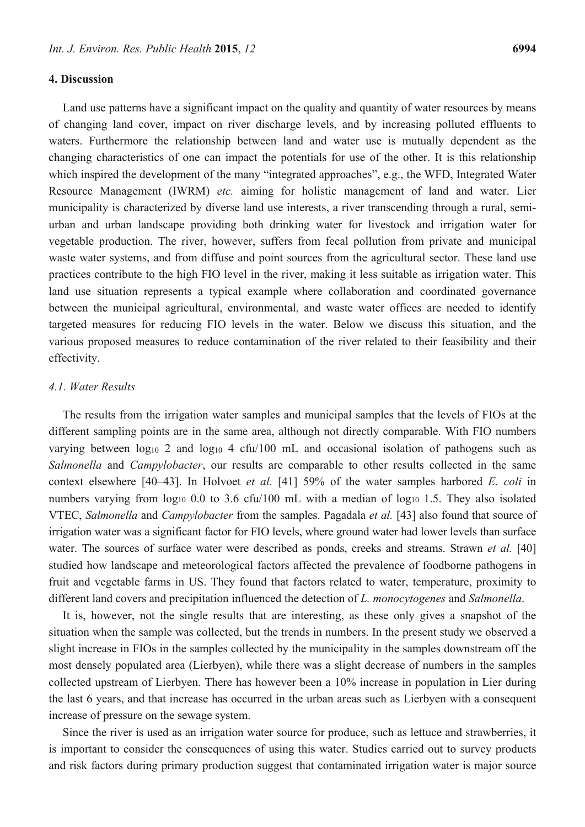#### **4. Discussion**

Land use patterns have a significant impact on the quality and quantity of water resources by means of changing land cover, impact on river discharge levels, and by increasing polluted effluents to waters. Furthermore the relationship between land and water use is mutually dependent as the changing characteristics of one can impact the potentials for use of the other. It is this relationship which inspired the development of the many "integrated approaches", e.g., the WFD, Integrated Water Resource Management (IWRM) *etc.* aiming for holistic management of land and water. Lier municipality is characterized by diverse land use interests, a river transcending through a rural, semiurban and urban landscape providing both drinking water for livestock and irrigation water for vegetable production. The river, however, suffers from fecal pollution from private and municipal waste water systems, and from diffuse and point sources from the agricultural sector. These land use practices contribute to the high FIO level in the river, making it less suitable as irrigation water. This land use situation represents a typical example where collaboration and coordinated governance between the municipal agricultural, environmental, and waste water offices are needed to identify targeted measures for reducing FIO levels in the water. Below we discuss this situation, and the various proposed measures to reduce contamination of the river related to their feasibility and their effectivity.

## *4.1. Water Results*

The results from the irrigation water samples and municipal samples that the levels of FIOs at the different sampling points are in the same area, although not directly comparable. With FIO numbers varying between  $log_{10} 2$  and  $log_{10} 4$  cfu/100 mL and occasional isolation of pathogens such as *Salmonella* and *Campylobacter*, our results are comparable to other results collected in the same context elsewhere [40–43]. In Holvoet *et al.* [41] 59% of the water samples harbored *E. coli* in numbers varying from  $log_{10}$  0.0 to 3.6 cfu/100 mL with a median of  $log_{10}$  1.5. They also isolated VTEC, *Salmonella* and *Campylobacter* from the samples. Pagadala *et al.* [43] also found that source of irrigation water was a significant factor for FIO levels, where ground water had lower levels than surface water. The sources of surface water were described as ponds, creeks and streams. Strawn *et al.* [40] studied how landscape and meteorological factors affected the prevalence of foodborne pathogens in fruit and vegetable farms in US. They found that factors related to water, temperature, proximity to different land covers and precipitation influenced the detection of *L. monocytogenes* and *Salmonella*.

It is, however, not the single results that are interesting, as these only gives a snapshot of the situation when the sample was collected, but the trends in numbers. In the present study we observed a slight increase in FIOs in the samples collected by the municipality in the samples downstream off the most densely populated area (Lierbyen), while there was a slight decrease of numbers in the samples collected upstream of Lierbyen. There has however been a 10% increase in population in Lier during the last 6 years, and that increase has occurred in the urban areas such as Lierbyen with a consequent increase of pressure on the sewage system.

Since the river is used as an irrigation water source for produce, such as lettuce and strawberries, it is important to consider the consequences of using this water. Studies carried out to survey products and risk factors during primary production suggest that contaminated irrigation water is major source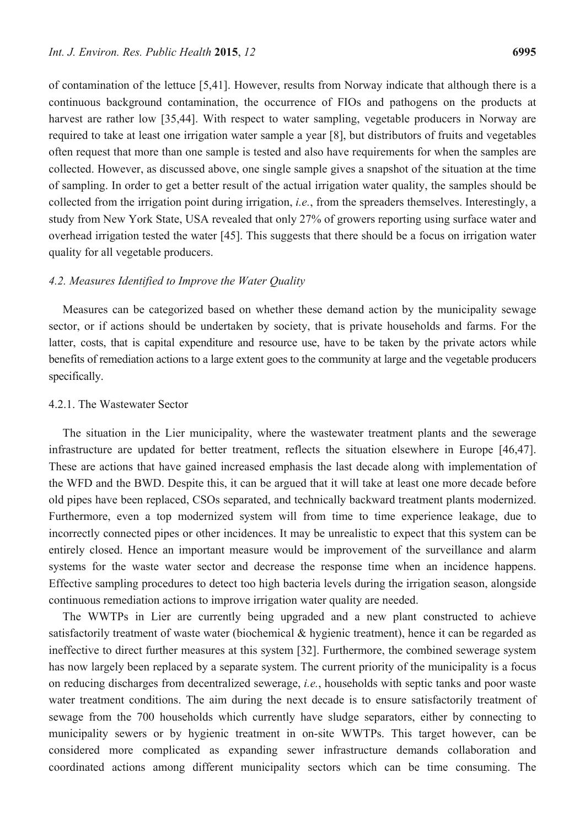of contamination of the lettuce [5,41]. However, results from Norway indicate that although there is a continuous background contamination, the occurrence of FIOs and pathogens on the products at harvest are rather low [35,44]. With respect to water sampling, vegetable producers in Norway are required to take at least one irrigation water sample a year [8], but distributors of fruits and vegetables often request that more than one sample is tested and also have requirements for when the samples are collected. However, as discussed above, one single sample gives a snapshot of the situation at the time of sampling. In order to get a better result of the actual irrigation water quality, the samples should be collected from the irrigation point during irrigation, *i.e.*, from the spreaders themselves. Interestingly, a study from New York State, USA revealed that only 27% of growers reporting using surface water and overhead irrigation tested the water [45]. This suggests that there should be a focus on irrigation water quality for all vegetable producers.

## *4.2. Measures Identified to Improve the Water Quality*

Measures can be categorized based on whether these demand action by the municipality sewage sector, or if actions should be undertaken by society, that is private households and farms. For the latter, costs, that is capital expenditure and resource use, have to be taken by the private actors while benefits of remediation actions to a large extent goes to the community at large and the vegetable producers specifically.

## 4.2.1. The Wastewater Sector

The situation in the Lier municipality, where the wastewater treatment plants and the sewerage infrastructure are updated for better treatment, reflects the situation elsewhere in Europe [46,47]. These are actions that have gained increased emphasis the last decade along with implementation of the WFD and the BWD. Despite this, it can be argued that it will take at least one more decade before old pipes have been replaced, CSOs separated, and technically backward treatment plants modernized. Furthermore, even a top modernized system will from time to time experience leakage, due to incorrectly connected pipes or other incidences. It may be unrealistic to expect that this system can be entirely closed. Hence an important measure would be improvement of the surveillance and alarm systems for the waste water sector and decrease the response time when an incidence happens. Effective sampling procedures to detect too high bacteria levels during the irrigation season, alongside continuous remediation actions to improve irrigation water quality are needed.

The WWTPs in Lier are currently being upgraded and a new plant constructed to achieve satisfactorily treatment of waste water (biochemical & hygienic treatment), hence it can be regarded as ineffective to direct further measures at this system [32]. Furthermore, the combined sewerage system has now largely been replaced by a separate system. The current priority of the municipality is a focus on reducing discharges from decentralized sewerage, *i.e.*, households with septic tanks and poor waste water treatment conditions. The aim during the next decade is to ensure satisfactorily treatment of sewage from the 700 households which currently have sludge separators, either by connecting to municipality sewers or by hygienic treatment in on-site WWTPs. This target however, can be considered more complicated as expanding sewer infrastructure demands collaboration and coordinated actions among different municipality sectors which can be time consuming. The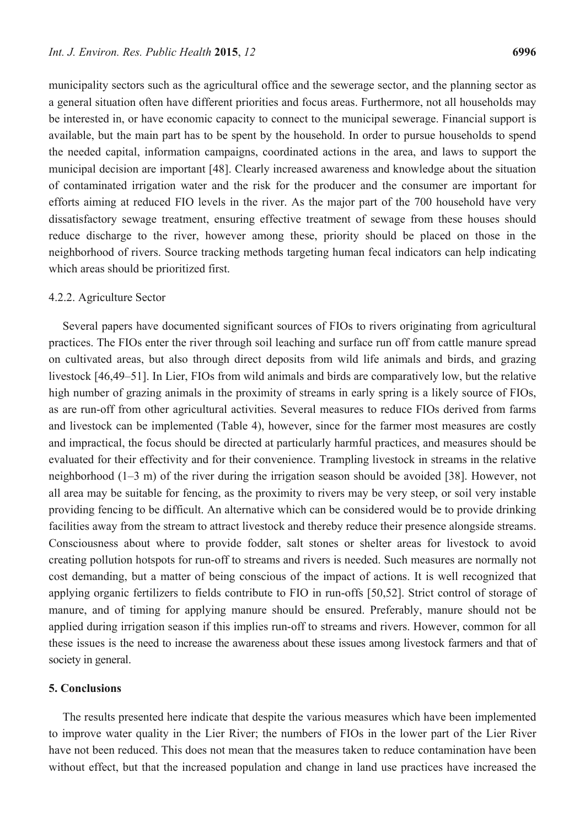municipality sectors such as the agricultural office and the sewerage sector, and the planning sector as a general situation often have different priorities and focus areas. Furthermore, not all households may be interested in, or have economic capacity to connect to the municipal sewerage. Financial support is available, but the main part has to be spent by the household. In order to pursue households to spend the needed capital, information campaigns, coordinated actions in the area, and laws to support the municipal decision are important [48]. Clearly increased awareness and knowledge about the situation of contaminated irrigation water and the risk for the producer and the consumer are important for efforts aiming at reduced FIO levels in the river. As the major part of the 700 household have very dissatisfactory sewage treatment, ensuring effective treatment of sewage from these houses should reduce discharge to the river, however among these, priority should be placed on those in the neighborhood of rivers. Source tracking methods targeting human fecal indicators can help indicating which areas should be prioritized first.

#### 4.2.2. Agriculture Sector

Several papers have documented significant sources of FIOs to rivers originating from agricultural practices. The FIOs enter the river through soil leaching and surface run off from cattle manure spread on cultivated areas, but also through direct deposits from wild life animals and birds, and grazing livestock [46,49–51]. In Lier, FIOs from wild animals and birds are comparatively low, but the relative high number of grazing animals in the proximity of streams in early spring is a likely source of FIOs, as are run-off from other agricultural activities. Several measures to reduce FIOs derived from farms and livestock can be implemented (Table 4), however, since for the farmer most measures are costly and impractical, the focus should be directed at particularly harmful practices, and measures should be evaluated for their effectivity and for their convenience. Trampling livestock in streams in the relative neighborhood (1–3 m) of the river during the irrigation season should be avoided [38]. However, not all area may be suitable for fencing, as the proximity to rivers may be very steep, or soil very instable providing fencing to be difficult. An alternative which can be considered would be to provide drinking facilities away from the stream to attract livestock and thereby reduce their presence alongside streams. Consciousness about where to provide fodder, salt stones or shelter areas for livestock to avoid creating pollution hotspots for run-off to streams and rivers is needed. Such measures are normally not cost demanding, but a matter of being conscious of the impact of actions. It is well recognized that applying organic fertilizers to fields contribute to FIO in run-offs [50,52]. Strict control of storage of manure, and of timing for applying manure should be ensured. Preferably, manure should not be applied during irrigation season if this implies run-off to streams and rivers. However, common for all these issues is the need to increase the awareness about these issues among livestock farmers and that of society in general.

## **5. Conclusions**

The results presented here indicate that despite the various measures which have been implemented to improve water quality in the Lier River; the numbers of FIOs in the lower part of the Lier River have not been reduced. This does not mean that the measures taken to reduce contamination have been without effect, but that the increased population and change in land use practices have increased the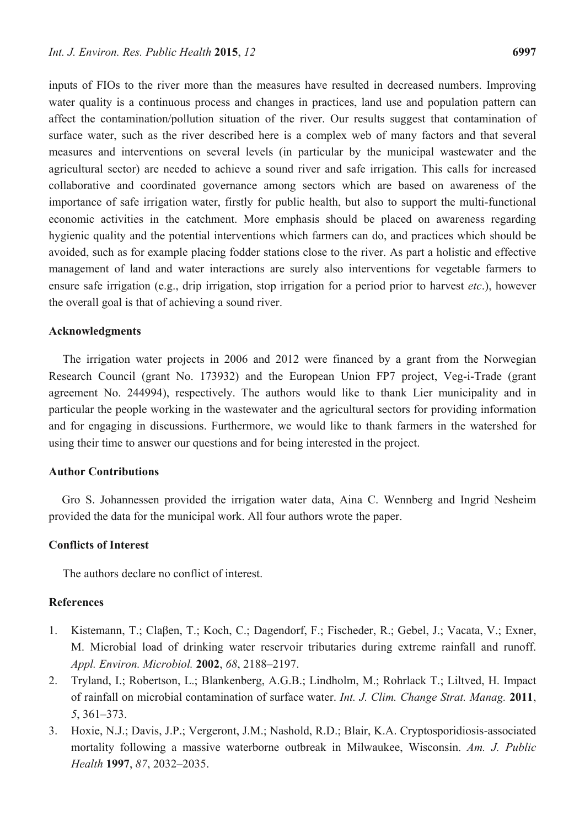inputs of FIOs to the river more than the measures have resulted in decreased numbers. Improving water quality is a continuous process and changes in practices, land use and population pattern can affect the contamination/pollution situation of the river. Our results suggest that contamination of surface water, such as the river described here is a complex web of many factors and that several measures and interventions on several levels (in particular by the municipal wastewater and the agricultural sector) are needed to achieve a sound river and safe irrigation. This calls for increased collaborative and coordinated governance among sectors which are based on awareness of the importance of safe irrigation water, firstly for public health, but also to support the multi-functional economic activities in the catchment. More emphasis should be placed on awareness regarding hygienic quality and the potential interventions which farmers can do, and practices which should be avoided, such as for example placing fodder stations close to the river. As part a holistic and effective management of land and water interactions are surely also interventions for vegetable farmers to ensure safe irrigation (e.g., drip irrigation, stop irrigation for a period prior to harvest *etc*.), however the overall goal is that of achieving a sound river.

#### **Acknowledgments**

The irrigation water projects in 2006 and 2012 were financed by a grant from the Norwegian Research Council (grant No. 173932) and the European Union FP7 project, Veg-i-Trade (grant agreement No. 244994), respectively. The authors would like to thank Lier municipality and in particular the people working in the wastewater and the agricultural sectors for providing information and for engaging in discussions. Furthermore, we would like to thank farmers in the watershed for using their time to answer our questions and for being interested in the project.

#### **Author Contributions**

Gro S. Johannessen provided the irrigation water data, Aina C. Wennberg and Ingrid Nesheim provided the data for the municipal work. All four authors wrote the paper.

#### **Conflicts of Interest**

The authors declare no conflict of interest.

## **References**

- 1. Kistemann, T.; Claβen, T.; Koch, C.; Dagendorf, F.; Fischeder, R.; Gebel, J.; Vacata, V.; Exner, M. Microbial load of drinking water reservoir tributaries during extreme rainfall and runoff. *Appl. Environ. Microbiol.* **2002**, *68*, 2188–2197.
- 2. Tryland, I.; Robertson, L.; Blankenberg, A.G.B.; Lindholm, M.; Rohrlack T.; Liltved, H. Impact of rainfall on microbial contamination of surface water. *Int. J. Clim. Change Strat. Manag.* **2011**, *5*, 361–373.
- 3. Hoxie, N.J.; Davis, J.P.; Vergeront, J.M.; Nashold, R.D.; Blair, K.A. Cryptosporidiosis-associated mortality following a massive waterborne outbreak in Milwaukee, Wisconsin. *Am. J. Public Health* **1997**, *87*, 2032–2035.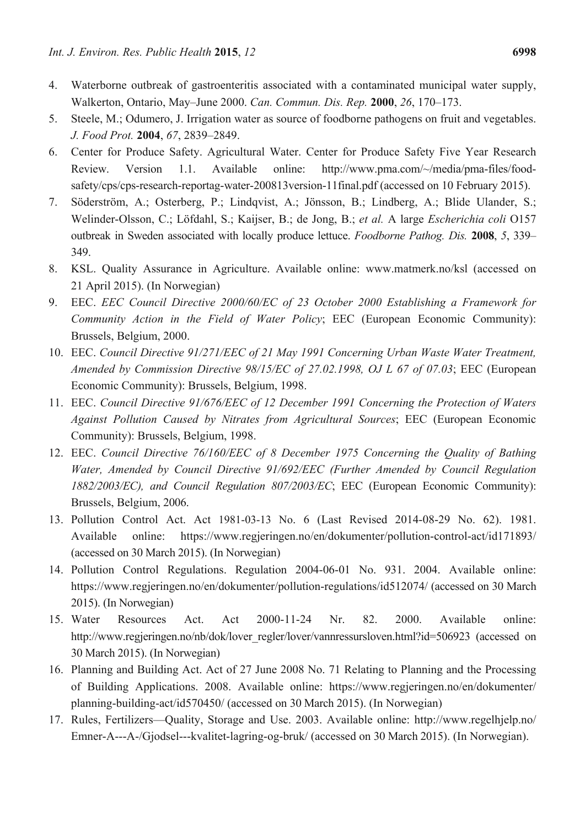- 4. Waterborne outbreak of gastroenteritis associated with a contaminated municipal water supply, Walkerton, Ontario, May–June 2000. *Can. Commun. Dis. Rep.* **2000**, *26*, 170–173.
- 5. Steele, M.; Odumero, J. Irrigation water as source of foodborne pathogens on fruit and vegetables. *J. Food Prot.* **2004**, *67*, 2839–2849.
- 6. Center for Produce Safety. Agricultural Water. Center for Produce Safety Five Year Research Review. Version 1.1. Available online: http://www.pma.com/~/media/pma-files/foodsafety/cps/cps-research-reportag-water-200813version-11final.pdf (accessed on 10 February 2015).
- 7. Söderström, A.; Osterberg, P.; Lindqvist, A.; Jönsson, B.; Lindberg, A.; Blide Ulander, S.; Welinder-Olsson, C.; Löfdahl, S.; Kaijser, B.; de Jong, B.; *et al.* A large *Escherichia coli* O157 outbreak in Sweden associated with locally produce lettuce. *Foodborne Pathog. Dis.* **2008**, *5*, 339– 349.
- 8. KSL. Quality Assurance in Agriculture. Available online: www.matmerk.no/ksl (accessed on 21 April 2015). (In Norwegian)
- 9. EEC. *EEC Council Directive 2000/60/EC of 23 October 2000 Establishing a Framework for Community Action in the Field of Water Policy*; EEC (European Economic Community): Brussels, Belgium, 2000.
- 10. EEC. *Council Directive 91/271/EEC of 21 May 1991 Concerning Urban Waste Water Treatment, Amended by Commission Directive 98/15/EC of 27.02.1998, OJ L 67 of 07.03*; EEC (European Economic Community): Brussels, Belgium, 1998.
- 11. EEC. *Council Directive 91/676/EEC of 12 December 1991 Concerning the Protection of Waters Against Pollution Caused by Nitrates from Agricultural Sources*; EEC (European Economic Community): Brussels, Belgium, 1998.
- 12. EEC. *Council Directive 76/160/EEC of 8 December 1975 Concerning the Quality of Bathing Water, Amended by Council Directive 91/692/EEC (Further Amended by Council Regulation 1882/2003/EC), and Council Regulation 807/2003/EC*; EEC (European Economic Community): Brussels, Belgium, 2006.
- 13. Pollution Control Act. Act 1981-03-13 No. 6 (Last Revised 2014-08-29 No. 62). 1981. Available online: https://www.regjeringen.no/en/dokumenter/pollution-control-act/id171893/ (accessed on 30 March 2015). (In Norwegian)
- 14. Pollution Control Regulations. Regulation 2004-06-01 No. 931. 2004. Available online: https://www.regjeringen.no/en/dokumenter/pollution-regulations/id512074/ (accessed on 30 March 2015). (In Norwegian)
- 15. Water Resources Act. Act 2000-11-24 Nr. 82. 2000. Available online: http://www.regjeringen.no/nb/dok/lover\_regler/lover/vannressursloven.html?id=506923 (accessed on 30 March 2015). (In Norwegian)
- 16. Planning and Building Act. Act of 27 June 2008 No. 71 Relating to Planning and the Processing of Building Applications. 2008. Available online: https://www.regjeringen.no/en/dokumenter/ planning-building-act/id570450/ (accessed on 30 March 2015). (In Norwegian)
- 17. Rules, Fertilizers—Quality, Storage and Use. 2003. Available online: http://www.regelhjelp.no/ Emner-A---A-/Gjodsel---kvalitet-lagring-og-bruk/ (accessed on 30 March 2015). (In Norwegian).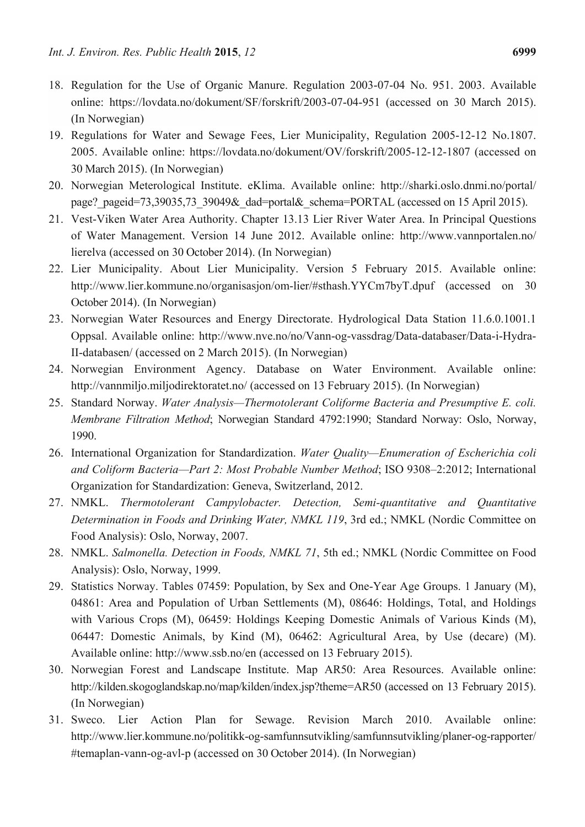- 18. Regulation for the Use of Organic Manure. Regulation 2003-07-04 No. 951. 2003. Available online: https://lovdata.no/dokument/SF/forskrift/2003-07-04-951 (accessed on 30 March 2015). (In Norwegian)
- 19. Regulations for Water and Sewage Fees, Lier Municipality, Regulation 2005-12-12 No.1807. 2005. Available online: https://lovdata.no/dokument/OV/forskrift/2005-12-12-1807 (accessed on 30 March 2015). (In Norwegian)
- 20. Norwegian Meterological Institute. eKlima. Available online: http://sharki.oslo.dnmi.no/portal/ page? pageid=73,39035,73\_39049&\_dad=portal&\_schema=PORTAL (accessed on 15 April 2015).
- 21. Vest-Viken Water Area Authority. Chapter 13.13 Lier River Water Area. In Principal Questions of Water Management. Version 14 June 2012. Available online: http://www.vannportalen.no/ lierelva (accessed on 30 October 2014). (In Norwegian)
- 22. Lier Municipality. About Lier Municipality. Version 5 February 2015. Available online: http://www.lier.kommune.no/organisasjon/om-lier/#sthash.YYCm7byT.dpuf (accessed on 30 October 2014). (In Norwegian)
- 23. Norwegian Water Resources and Energy Directorate. Hydrological Data Station 11.6.0.1001.1 Oppsal. Available online: http://www.nve.no/no/Vann-og-vassdrag/Data-databaser/Data-i-Hydra-II-databasen/ (accessed on 2 March 2015). (In Norwegian)
- 24. Norwegian Environment Agency. Database on Water Environment. Available online: http://vannmiljo.miljodirektoratet.no/ (accessed on 13 February 2015). (In Norwegian)
- 25. Standard Norway. *Water Analysis—Thermotolerant Coliforme Bacteria and Presumptive E. coli. Membrane Filtration Method*; Norwegian Standard 4792:1990; Standard Norway: Oslo, Norway, 1990.
- 26. International Organization for Standardization. *Water Quality—Enumeration of Escherichia coli and Coliform Bacteria—Part 2: Most Probable Number Method*; ISO 9308–2:2012; International Organization for Standardization: Geneva, Switzerland, 2012.
- 27. NMKL. *Thermotolerant Campylobacter. Detection, Semi-quantitative and Quantitative Determination in Foods and Drinking Water, NMKL 119*, 3rd ed.; NMKL (Nordic Committee on Food Analysis): Oslo, Norway, 2007.
- 28. NMKL. *Salmonella. Detection in Foods, NMKL 71*, 5th ed.; NMKL (Nordic Committee on Food Analysis): Oslo, Norway, 1999.
- 29. Statistics Norway. Tables 07459: Population, by Sex and One-Year Age Groups. 1 January (M), 04861: Area and Population of Urban Settlements (M), 08646: Holdings, Total, and Holdings with Various Crops (M), 06459: Holdings Keeping Domestic Animals of Various Kinds (M), 06447: Domestic Animals, by Kind (M), 06462: Agricultural Area, by Use (decare) (M). Available online: http://www.ssb.no/en (accessed on 13 February 2015).
- 30. Norwegian Forest and Landscape Institute. Map AR50: Area Resources. Available online: http://kilden.skogoglandskap.no/map/kilden/index.jsp?theme=AR50 (accessed on 13 February 2015). (In Norwegian)
- 31. Sweco. Lier Action Plan for Sewage. Revision March 2010. Available online: http://www.lier.kommune.no/politikk-og-samfunnsutvikling/samfunnsutvikling/planer-og-rapporter/ #temaplan-vann-og-avl-p (accessed on 30 October 2014). (In Norwegian)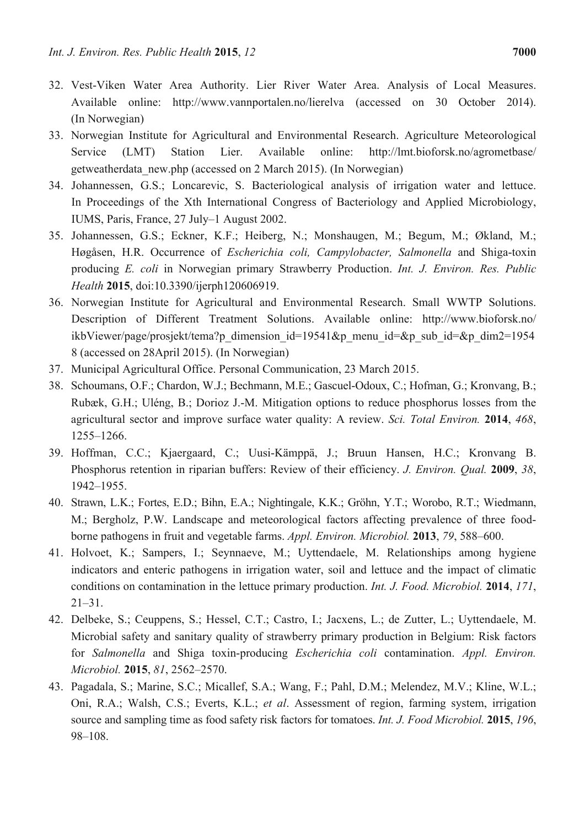- 32. Vest-Viken Water Area Authority. Lier River Water Area. Analysis of Local Measures. Available online: http://www.vannportalen.no/lierelva (accessed on 30 October 2014). (In Norwegian)
- 33. Norwegian Institute for Agricultural and Environmental Research. Agriculture Meteorological Service (LMT) Station Lier. Available online: http://lmt.bioforsk.no/agrometbase/ getweatherdata\_new.php (accessed on 2 March 2015). (In Norwegian)
- 34. Johannessen, G.S.; Loncarevic, S. Bacteriological analysis of irrigation water and lettuce. In Proceedings of the Xth International Congress of Bacteriology and Applied Microbiology, IUMS, Paris, France, 27 July–1 August 2002.
- 35. Johannessen, G.S.; Eckner, K.F.; Heiberg, N.; Monshaugen, M.; Begum, M.; Økland, M.; Høgåsen, H.R. Occurrence of *Escherichia coli, Campylobacter, Salmonella* and Shiga-toxin producing *E. coli* in Norwegian primary Strawberry Production. *Int. J. Environ. Res. Public Health* **2015**, doi:10.3390/ijerph120606919.
- 36. Norwegian Institute for Agricultural and Environmental Research. Small WWTP Solutions. Description of Different Treatment Solutions. Available online: http://www.bioforsk.no/ ikbViewer/page/prosjekt/tema?p\_dimension\_id=19541&p\_menu\_id=&p\_sub\_id=&p\_dim2=1954 8 (accessed on 28April 2015). (In Norwegian)
- 37. Municipal Agricultural Office. Personal Communication, 23 March 2015.
- 38. Schoumans, O.F.; Chardon, W.J.; Bechmann, M.E.; Gascuel-Odoux, C.; Hofman, G.; Kronvang, B.; Rubæk, G.H.; Uléng, B.; Dorioz J.-M. Mitigation options to reduce phosphorus losses from the agricultural sector and improve surface water quality: A review. *Sci. Total Environ.* **2014**, *468*, 1255–1266.
- 39. Hoffman, C.C.; Kjaergaard, C.; Uusi-Kämppä, J.; Bruun Hansen, H.C.; Kronvang B. Phosphorus retention in riparian buffers: Review of their efficiency. *J. Environ. Qual.* **2009**, *38*, 1942–1955.
- 40. Strawn, L.K.; Fortes, E.D.; Bihn, E.A.; Nightingale, K.K.; Gröhn, Y.T.; Worobo, R.T.; Wiedmann, M.; Bergholz, P.W. Landscape and meteorological factors affecting prevalence of three foodborne pathogens in fruit and vegetable farms. *Appl. Environ. Microbiol.* **2013**, *79*, 588–600.
- 41. Holvoet, K.; Sampers, I.; Seynnaeve, M.; Uyttendaele, M. Relationships among hygiene indicators and enteric pathogens in irrigation water, soil and lettuce and the impact of climatic conditions on contamination in the lettuce primary production. *Int. J. Food. Microbiol.* **2014**, *171*, 21–31.
- 42. Delbeke, S.; Ceuppens, S.; Hessel, C.T.; Castro, I.; Jacxens, L.; de Zutter, L.; Uyttendaele, M. Microbial safety and sanitary quality of strawberry primary production in Belgium: Risk factors for *Salmonella* and Shiga toxin-producing *Escherichia coli* contamination. *Appl. Environ. Microbiol.* **2015**, *81*, 2562–2570.
- 43. Pagadala, S.; Marine, S.C.; Micallef, S.A.; Wang, F.; Pahl, D.M.; Melendez, M.V.; Kline, W.L.; Oni, R.A.; Walsh, C.S.; Everts, K.L.; *et al*. Assessment of region, farming system, irrigation source and sampling time as food safety risk factors for tomatoes. *Int. J. Food Microbiol.* **2015**, *196*, 98–108.